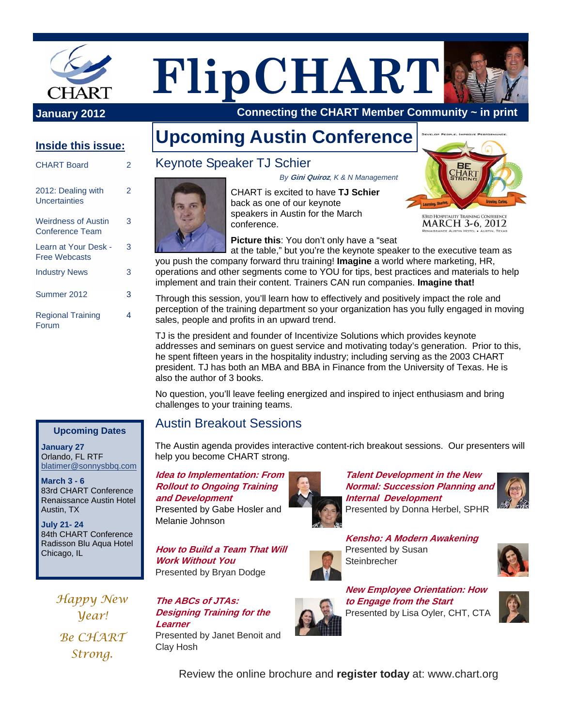

# **FlipCHART**

 **Connecting the CHART Member Community ~ in print**

#### **Inside this issue:**

| <b>CHART Board</b>                                   |   |
|------------------------------------------------------|---|
| 2012: Dealing with<br>Uncertainties                  | 2 |
| <b>Weirdness of Austin</b><br><b>Conference Team</b> | 3 |
| Learn at Your Desk -<br><b>Free Webcasts</b>         | 3 |
| <b>Industry News</b>                                 | 3 |
| Summer 2012                                          | 3 |
| <b>Regional Training</b><br>Forum                    | 4 |

#### **Upcoming Dates**

**January 27**  Orlando, FL RTF blatimer@sonnysbbq.com

**March 3 - 6**  83rd CHART Conference Renaissance Austin Hotel Austin, TX

**July 21- 24**  84th CHART Conference Radisson Blu Aqua Hotel Chicago, IL

> *Happy New Year! Be CHART Strong.*

# **Upcoming Austin Conference**

### Keynote Speaker TJ Schier



CHART is excited to have **TJ Schier**  back as one of our keynote speakers in Austin for the March conference. *By* **Gini Quiroz***, K & N Management* 



**Picture this**: You don't only have a "seat

at the table," but you're the keynote speaker to the executive team as you push the company forward thru training! **Imagine** a world where marketing, HR, operations and other segments come to YOU for tips, best practices and materials to help implement and train their content. Trainers CAN run companies. **Imagine that!**

Through this session, you'll learn how to effectively and positively impact the role and perception of the training department so your organization has you fully engaged in moving sales, people and profits in an upward trend.

TJ is the president and founder of Incentivize Solutions which provides keynote addresses and seminars on guest service and motivating today's generation. Prior to this, he spent fifteen years in the hospitality industry; including serving as the 2003 CHART president. TJ has both an MBA and BBA in Finance from the University of Texas. He is also the author of 3 books.

No question, you'll leave feeling energized and inspired to inject enthusiasm and bring challenges to your training teams.

#### Austin Breakout Sessions

The Austin agenda provides interactive content-rich breakout sessions. Our presenters will help you become CHART strong.

#### **Idea to Implementation: From Rollout to Ongoing Training and Development**

Presented by Gabe Hosler and Melanie Johnson

**How to Build a Team That Will Work Without You**  Presented by Bryan Dodge

**The ABCs of JTAs: Designing Training for the Learner**  Presented by Janet Benoit and Clay Hosh



**Talent Development in the New Normal: Succession Planning and Internal Development**  Presented by Donna Herbel, SPHR



**Kensho: A Modern Awakening**  Presented by Susan **Steinbrecher** 



**New Employee Orientation: How to Engage from the Start**  Presented by Lisa Oyler, CHT, CTA



Review the online brochure and **register today** at: www.chart.org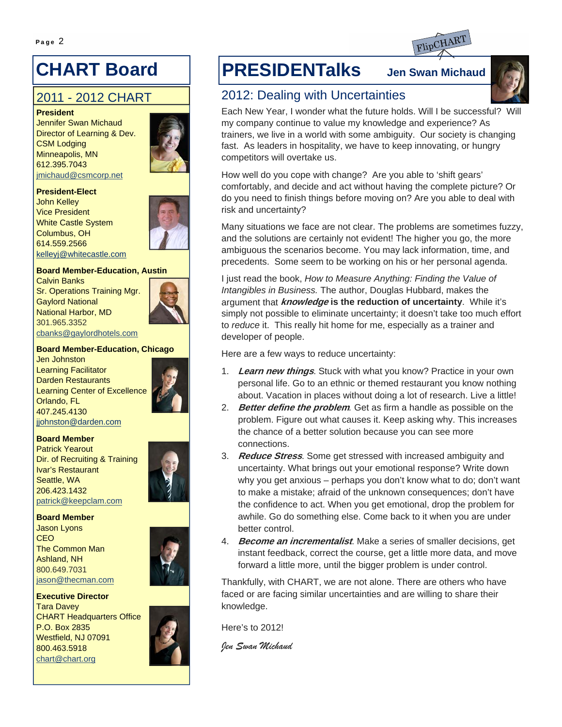## **CHART Board**

## 2011 - 2012 CHART

**President**  Jennifer Swan Michaud Director of Learning & Dev. CSM Lodging Minneapolis, MN 612.395.7043 jmichaud@csmcorp.net



#### **President-Elect**

John Kelley Vice President White Castle System Columbus, OH 614.559.2566 kelleyj@whitecastle.com



#### **Board Member-Education, Austin**

Calvin Banks Sr. Operations Training Mgr. Gaylord National National Harbor, MD 301.965.3352 cbanks@gaylordhotels.com



#### **Board Member-Education, Chicago**

Jen Johnston Learning Facilitator Darden Restaurants Learning Center of Excellence Orlando, FL 407.245.4130 jjohnston@darden.com



#### **Board Member**

Patrick Yearout Dir. of Recruiting & Training Ivar's Restaurant Seattle, WA 206.423.1432 patrick@keepclam.com



**Board Member**  Jason Lyons **CEO** The Common Man Ashland, NH 800.649.7031 jason@thecman.com



**Executive Director**  Tara Davey CHART Headquarters Office P.O. Box 2835 Westfield, NJ 07091 800.463.5918 chart@chart.org



## **PRESIDENTalks Jen Swan Michaud**



## 2012: Dealing with Uncertainties

Each New Year, I wonder what the future holds. Will I be successful? Will my company continue to value my knowledge and experience? As trainers, we live in a world with some ambiguity. Our society is changing fast. As leaders in hospitality, we have to keep innovating, or hungry competitors will overtake us.

How well do you cope with change? Are you able to 'shift gears' comfortably, and decide and act without having the complete picture? Or do you need to finish things before moving on? Are you able to deal with risk and uncertainty?

Many situations we face are not clear. The problems are sometimes fuzzy, and the solutions are certainly not evident! The higher you go, the more ambiguous the scenarios become. You may lack information, time, and precedents. Some seem to be working on his or her personal agenda.

I just read the book, *How to Measure Anything: Finding the Value of Intangibles in Business.* The author, Douglas Hubbard, makes the argument that **knowledge is the reduction of uncertainty**. While it's simply not possible to eliminate uncertainty; it doesn't take too much effort to *reduce* it. This really hit home for me, especially as a trainer and developer of people.

Here are a few ways to reduce uncertainty:

- 1. **Learn new things**. Stuck with what you know? Practice in your own personal life. Go to an ethnic or themed restaurant you know nothing about. Vacation in places without doing a lot of research. Live a little!
- 2. **Better define the problem***.* Get as firm a handle as possible on the problem. Figure out what causes it. Keep asking why. This increases the chance of a better solution because you can see more connections.
- 3. **Reduce Stress**. Some get stressed with increased ambiguity and uncertainty. What brings out your emotional response? Write down why you get anxious – perhaps you don't know what to do; don't want to make a mistake; afraid of the unknown consequences; don't have the confidence to act. When you get emotional, drop the problem for awhile. Go do something else. Come back to it when you are under better control.
- 4. **Become an incrementalist**. Make a series of smaller decisions, get instant feedback, correct the course, get a little more data, and move forward a little more, until the bigger problem is under control.

Thankfully, with CHART, we are not alone. There are others who have faced or are facing similar uncertainties and are willing to share their knowledge.

Here's to 2012!

*Jen Swan Michaud*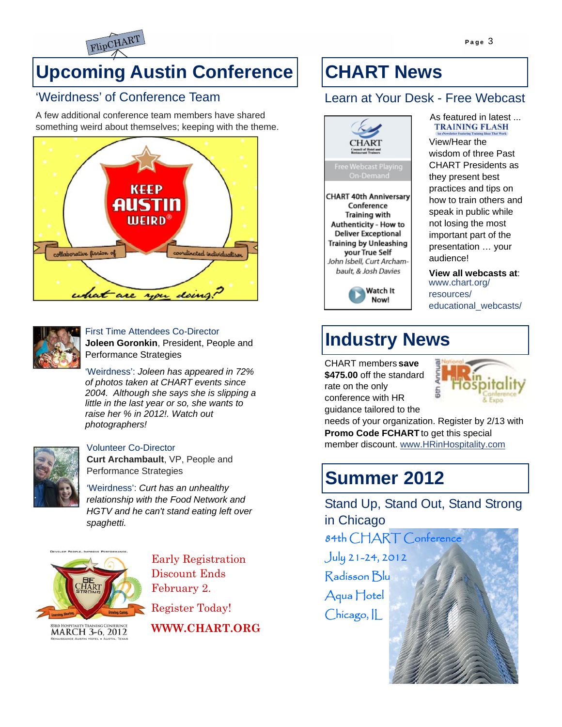

# **Upcoming Austin Conference**

## 'Weirdness' of Conference Team

A few additional conference team members have shared something weird about themselves; keeping with the theme.





#### First Time Attendees Co-Director **Joleen Goronkin**, President, People and

Performance Strategies 'Weirdness': *Joleen has appeared in 72% of photos taken at CHART events since 2004. Although she says she is slipping a little in the last year or so, she wants to* 



#### Volunteer Co-Director

*photographers!* 

**Curt Archambault**, VP, People and Performance Strategies

*raise her % in 2012!. Watch out* 

'Weirdness': *Curt has an unhealthy relationship with the Food Network and HGTV and he can't stand eating left over spaghetti.*



Early Registration Discount Ends February 2.

Register Today!

**WWW.CHART.ORG** 

# **CHART News**

## Learn at Your Desk - Free Webcast



## As featured in latest ...<br>TRAINING FLASH

View/Hear the wisdom of three Past CHART Presidents as they present best practices and tips on how to train others and speak in public while not losing the most important part of the presentation … your audience!

**View all webcasts at**: www.chart.org/ resources/ educational\_webcasts/

# **Industry News**

CHART members **save \$475.00** off the standard rate on the only conference with HR guidance tailored to the



needs of your organization. Register by 2/13 with **Promo Code FCHART** to get this special member discount. www.HRinHospitality.com

## **Summer 2012**

Stand Up, Stand Out, Stand Strong in Chicago

84th CHART Conference July 21-24, 2012 Radisson Blu Aqua Hotel Chicago, IL